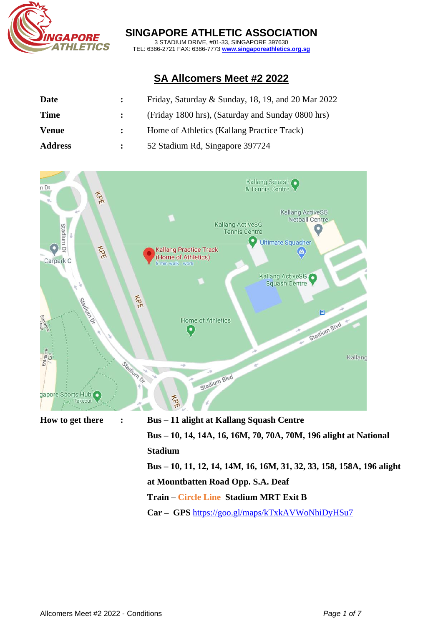

### **SINGAPORE ATHLETIC ASSOCIATION**

3 STADIUM DRIVE, #01-33, SINGAPORE 397630 TEL: 6386-2721 FAX: 6386-7773 **[www.singaporeathletics.org.sg](http://www.singaporeathletics.org.sg/)**

# **SA Allcomers Meet #2 2022**

| Date           | Friday, Saturday & Sunday, 18, 19, and 20 Mar $2022$ |
|----------------|------------------------------------------------------|
| <b>Time</b>    | (Friday 1800 hrs), (Saturday and Sunday 0800 hrs)    |
| <b>Venue</b>   | Home of Athletics (Kallang Practice Track)           |
| <b>Address</b> | 52 Stadium Rd, Singapore 397724                      |



- **Train – Circle Line Stadium MRT Exit B**
- **Car – GPS** <https://goo.gl/maps/kTxkAVWoNhiDyHSu7>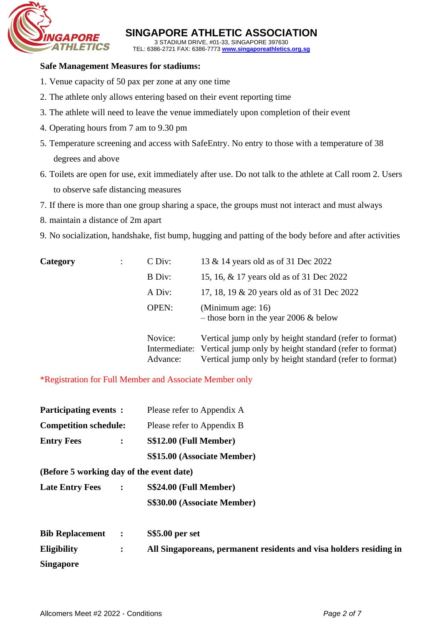

**SINGAPORE ATHLETIC ASSOCIATION** 3 STADIUM DRIVE, #01-33, SINGAPORE 397630

TEL: 6386-2721 FAX: 6386-7773 **[www.singaporeathletics.org.sg](http://www.singaporeathletics.org.sg/)**

#### **Safe Management Measures for stadiums:**

- 1. Venue capacity of 50 pax per zone at any one time
- 2. The athlete only allows entering based on their event reporting time
- 3. The athlete will need to leave the venue immediately upon completion of their event
- 4. Operating hours from 7 am to 9.30 pm
- 5. Temperature screening and access with SafeEntry. No entry to those with a temperature of 38 degrees and above
- 6. Toilets are open for use, exit immediately after use. Do not talk to the athlete at Call room 2. Users to observe safe distancing measures
- 7. If there is more than one group sharing a space, the groups must not interact and must always
- 8. maintain a distance of 2m apart
- 9. No socialization, handshake, fist bump, hugging and patting of the body before and after activities

| Category | C Div:       | 13 & 14 years old as of 31 Dec 2022                                                                                              |
|----------|--------------|----------------------------------------------------------------------------------------------------------------------------------|
|          | B Div:       | 15, 16, & 17 years old as of 31 Dec 2022                                                                                         |
|          | A Div:       | 17, 18, 19 & 20 years old as of 31 Dec 2022                                                                                      |
|          | <b>OPEN:</b> | (Minimum age: 16)<br>- those born in the year 2006 $&$ below                                                                     |
|          | Novice:      | Vertical jump only by height standard (refer to format)<br>Intermediate: Vertical jump only by height standard (refer to format) |
|          | Advance:     | Vertical jump only by height standard (refer to format)                                                                          |

\*Registration for Full Member and Associate Member only

| <b>Participating events:</b><br><b>Competition schedule:</b> |                      | Please refer to Appendix A<br>Please refer to Appendix B           |  |  |
|--------------------------------------------------------------|----------------------|--------------------------------------------------------------------|--|--|
|                                                              |                      |                                                                    |  |  |
|                                                              |                      | S\$15.00 (Associate Member)                                        |  |  |
| (Before 5 working day of the event date)                     |                      |                                                                    |  |  |
| <b>Late Entry Fees</b>                                       | $\ddot{\cdot}$       | S\$24.00 (Full Member)                                             |  |  |
|                                                              |                      | S\$30.00 (Associate Member)                                        |  |  |
| <b>Bib Replacement</b>                                       | $\ddot{\phantom{1}}$ | <b>S\$5.00 per set</b>                                             |  |  |
| <b>Eligibility</b>                                           | $\ddot{\cdot}$       | All Singaporeans, permanent residents and visa holders residing in |  |  |
| <b>Singapore</b>                                             |                      |                                                                    |  |  |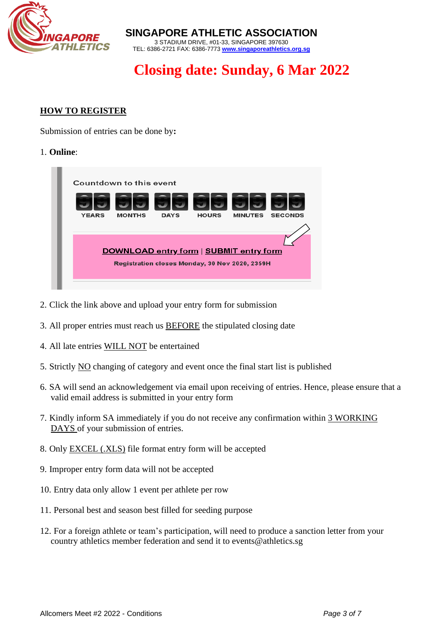

**SINGAPORE ATHLETIC ASSOCIATION** 3 STADIUM DRIVE, #01-33, SINGAPORE 397630 TEL: 6386-2721 FAX: 6386-7773 **[www.singaporeathletics.org.sg](http://www.singaporeathletics.org.sg/)**

# **Closing date: Sunday, 6 Mar 2022**

## **HOW TO REGISTER**

Submission of entries can be done by**:** 

#### 1. **Online**:



- 2. Click the link above and upload your entry form for submission
- 3. All proper entries must reach us BEFORE the stipulated closing date
- 4. All late entries WILL NOT be entertained
- 5. Strictly NO changing of category and event once the final start list is published
- 6. SA will send an acknowledgement via email upon receiving of entries. Hence, please ensure that a valid email address is submitted in your entry form
- 7. Kindly inform SA immediately if you do not receive any confirmation within 3 WORKING DAYS of your submission of entries.
- 8. Only EXCEL (.XLS) file format entry form will be accepted
- 9. Improper entry form data will not be accepted
- 10. Entry data only allow 1 event per athlete per row
- 11. Personal best and season best filled for seeding purpose
- 12. For a foreign athlete or team's participation, will need to produce a sanction letter from your country athletics member federation and send it to [events@athletics.sg](mailto:events@athletics.sg)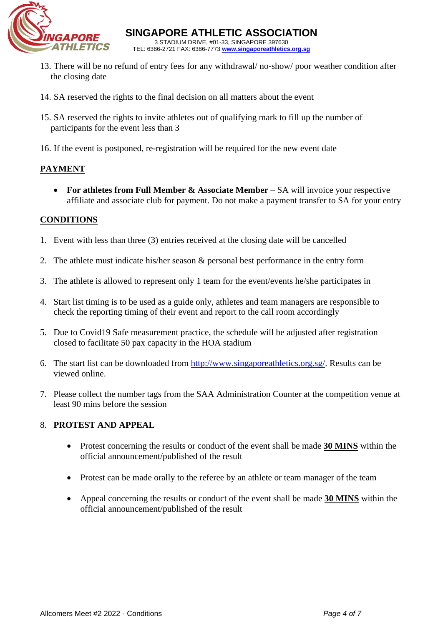

- 13. There will be no refund of entry fees for any withdrawal/ no-show/ poor weather condition after the closing date
- 14. SA reserved the rights to the final decision on all matters about the event
- 15. SA reserved the rights to invite athletes out of qualifying mark to fill up the number of participants for the event less than 3
- 16. If the event is postponed, re-registration will be required for the new event date

### **PAYMENT**

• **For athletes from Full Member & Associate Member** – SA will invoice your respective affiliate and associate club for payment. Do not make a payment transfer to SA for your entry

#### **CONDITIONS**

- 1. Event with less than three (3) entries received at the closing date will be cancelled
- 2. The athlete must indicate his/her season & personal best performance in the entry form
- 3. The athlete is allowed to represent only 1 team for the event/events he/she participates in
- 4. Start list timing is to be used as a guide only, athletes and team managers are responsible to check the reporting timing of their event and report to the call room accordingly
- 5. Due to Covid19 Safe measurement practice, the schedule will be adjusted after registration closed to facilitate 50 pax capacity in the HOA stadium
- 6. The start list can be downloaded from [http://www.singaporeathletics.org.sg/.](http://www.singaporeathletics.org.sg/) Results can be viewed online.
- 7. Please collect the number tags from the SAA Administration Counter at the competition venue at least 90 mins before the session

#### 8. **PROTEST AND APPEAL**

- Protest concerning the results or conduct of the event shall be made **30 MINS** within the official announcement/published of the result
- Protest can be made orally to the referee by an athlete or team manager of the team
- Appeal concerning the results or conduct of the event shall be made **30 MINS** within the official announcement/published of the result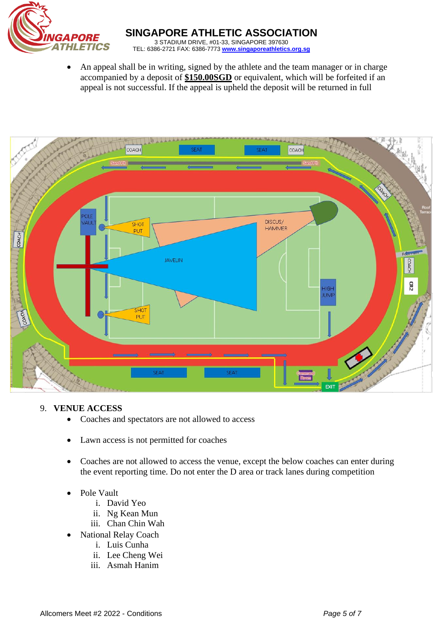

• An appeal shall be in writing, signed by the athlete and the team manager or in charge accompanied by a deposit of **\$150.00SGD** or equivalent, which will be forfeited if an appeal is not successful. If the appeal is upheld the deposit will be returned in full



#### 9. **VENUE ACCESS**

- Coaches and spectators are not allowed to access
- Lawn access is not permitted for coaches
- Coaches are not allowed to access the venue, except the below coaches can enter during the event reporting time. Do not enter the D area or track lanes during competition
- Pole Vault
	- i. David Yeo
	- ii. Ng Kean Mun
	- iii. Chan Chin Wah
	- National Relay Coach
		- i. Luis Cunha
		- ii. Lee Cheng Wei
		- iii. Asmah Hanim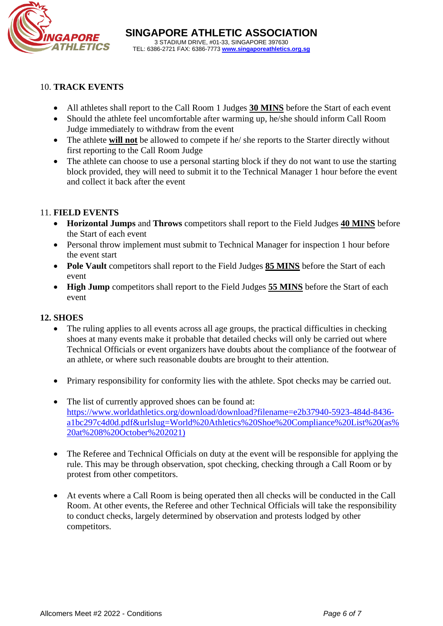

#### 10. **TRACK EVENTS**

- All athletes shall report to the Call Room 1 Judges **30 MINS** before the Start of each event
- Should the athlete feel uncomfortable after warming up, he/she should inform Call Room Judge immediately to withdraw from the event
- The athlete **will not** be allowed to compete if he/ she reports to the Starter directly without first reporting to the Call Room Judge
- The athlete can choose to use a personal starting block if they do not want to use the starting block provided, they will need to submit it to the Technical Manager 1 hour before the event and collect it back after the event

#### 11. **FIELD EVENTS**

- **Horizontal Jumps** and **Throws** competitors shall report to the Field Judges **40 MINS** before the Start of each event
- Personal throw implement must submit to Technical Manager for inspection 1 hour before the event start
- **Pole Vault** competitors shall report to the Field Judges **85 MINS** before the Start of each event
- **High Jump** competitors shall report to the Field Judges **55 MINS** before the Start of each event

#### **12. SHOES**

- The ruling applies to all events across all age groups, the practical difficulties in checking shoes at many events make it probable that detailed checks will only be carried out where Technical Officials or event organizers have doubts about the compliance of the footwear of an athlete, or where such reasonable doubts are brought to their attention.
- Primary responsibility for conformity lies with the athlete. Spot checks may be carried out.
- The list of currently approved shoes can be found at: [https://www.worldathletics.org/download/download?filename=e2b37940-5923-484d-8436](https://www.worldathletics.org/download/download?filename=e2b37940-5923-484d-8436-a1bc297c4d0d.pdf&urlslug=World%20Athletics%20Shoe%20Compliance%20List%20(as%20at%208%20October%202021)) [a1bc297c4d0d.pdf&urlslug=World%20Athletics%20Shoe%20Compliance%20List%20\(as%](https://www.worldathletics.org/download/download?filename=e2b37940-5923-484d-8436-a1bc297c4d0d.pdf&urlslug=World%20Athletics%20Shoe%20Compliance%20List%20(as%20at%208%20October%202021)) [20at%208%20October%202021\)](https://www.worldathletics.org/download/download?filename=e2b37940-5923-484d-8436-a1bc297c4d0d.pdf&urlslug=World%20Athletics%20Shoe%20Compliance%20List%20(as%20at%208%20October%202021))
- The Referee and Technical Officials on duty at the event will be responsible for applying the rule. This may be through observation, spot checking, checking through a Call Room or by protest from other competitors.
- At events where a Call Room is being operated then all checks will be conducted in the Call Room. At other events, the Referee and other Technical Officials will take the responsibility to conduct checks, largely determined by observation and protests lodged by other competitors.